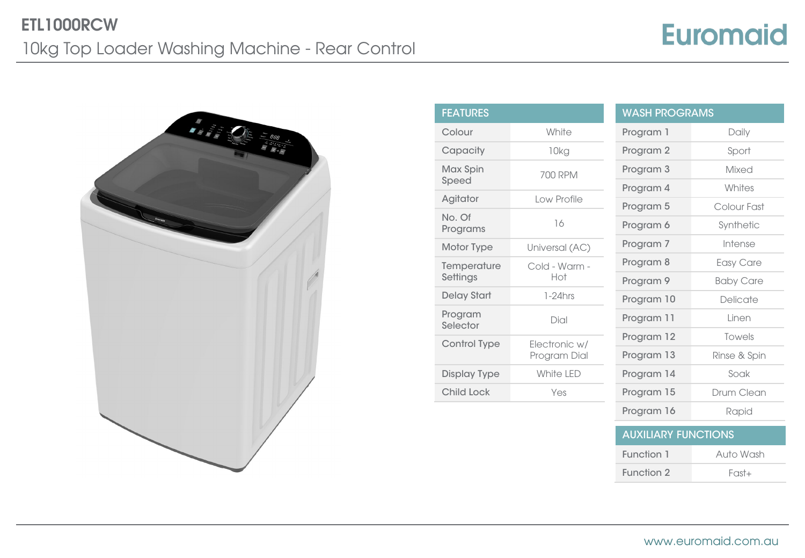## **Euromaid**



| <b>FEATURES</b>               |                      | <b>WASH PROG</b> |
|-------------------------------|----------------------|------------------|
| Colour                        | White                | Program 1        |
| Capacity                      | 10kg                 | Program 2        |
| Max Spin<br>Speed             | 700 RPM              | Program 3        |
|                               | Low Profile          | Program 4        |
| Agitator                      |                      | Program 5        |
| No. Of<br>Programs            | 16                   | Program 6        |
| Motor Type                    | Universal (AC)       | Program 7        |
| Temperature<br>Settings       | Cold - Warm -<br>Hot | Program 8        |
|                               |                      | Program 9        |
| <b>Delay Start</b>            | $1-24$ hrs           | Program 10       |
| Program<br>Selector           | Dial                 | Program 11       |
| Control Type<br>Electronic w/ |                      | Program 12       |
|                               | Program Dial         | Program 13       |
| <b>Display Type</b>           | White I FD           | Program 14       |
| <b>Child Lock</b>             | Yes                  | Program 15       |
|                               |                      |                  |

| WASH PROGRAMS              |                  |  |  |
|----------------------------|------------------|--|--|
| Program 1                  | Daily            |  |  |
| Program <sub>2</sub>       | Sport            |  |  |
| Program 3                  | Mixed            |  |  |
| Program 4                  | Whites           |  |  |
| Program 5                  | Colour Fast      |  |  |
| Program 6                  | Synthetic        |  |  |
| Program 7                  | Intense          |  |  |
| Program 8                  | Easy Care        |  |  |
| Program <sub>9</sub>       | <b>Baby Care</b> |  |  |
| Program 10                 | Delicate         |  |  |
| Program 11                 | Linen            |  |  |
| Program 12                 | Towels           |  |  |
| Program 13                 | Rinse & Spin     |  |  |
| Program 14                 | Soak             |  |  |
| Program 15                 | Drum Clean       |  |  |
| Program 16                 | Rapid            |  |  |
| <b>AUXILIARY FUNCTIONS</b> |                  |  |  |
| Function 1                 | Auto Wash        |  |  |

Function 2 Fast+